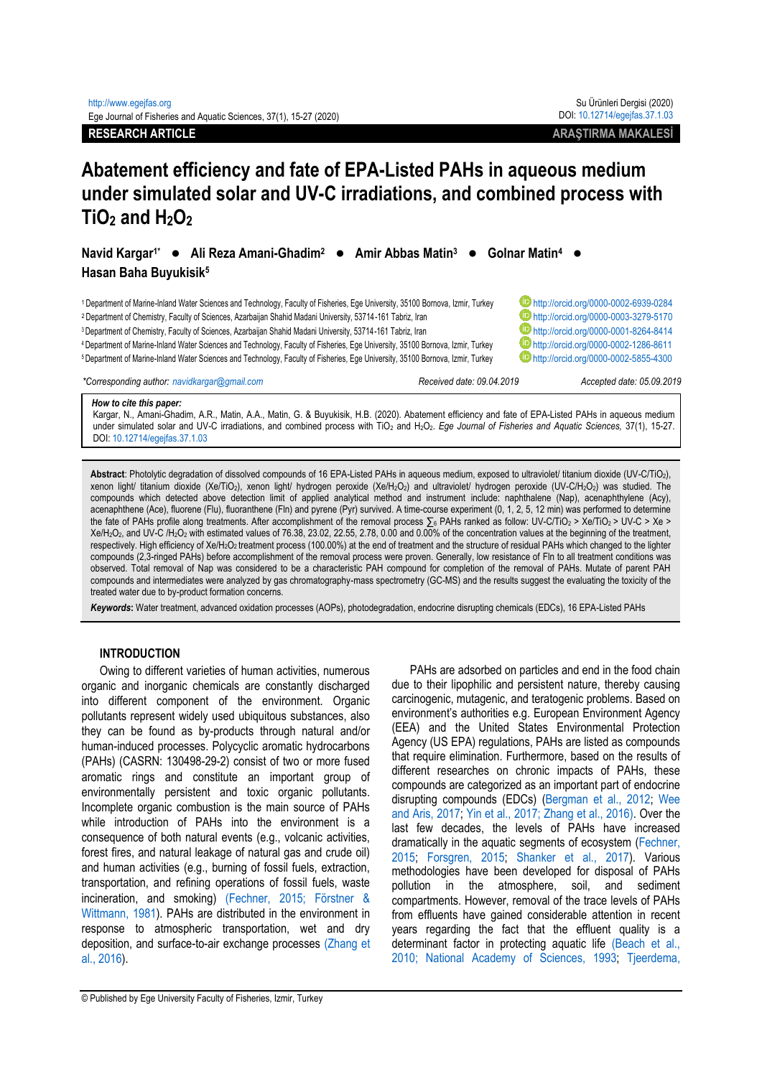# **Abatement efficiency and fate of EPA-Listed PAHs in aqueous medium under simulated solar and UV-C irradiations, and combined process with TiO<sup>2</sup> and H2O<sup>2</sup>**

Navid Kargar<sup>1\*</sup> ● Ali Reza Amani-Ghadim<sup>2</sup> ● Amir Abbas Matin<sup>3</sup> ● Golnar Matin<sup>4</sup> ● **Hasan Baha Buyukisik<sup>5</sup>**

1Department of Marine-Inland Water Sciences and Technology, Faculty of Fisheries, Ege University, 35100 Bornova, Izmir, Turkey **D**<http://orcid.org/0000-0002-6939-0284> <sup>2</sup> Department of Chemistry, Faculty of Sciences, Azarbaijan Shahid Madani University, 53714-161 Tabriz, Iran **Department of Chemistry, Faculty of Sciences**, Azarbaijan Shahid Madani University, 53714-161 Tabriz, Iran **Dep** <sup>3</sup>Department of Chemistry, Faculty of Sciences, Azarbaijan Shahid Madani University, 53714-161 Tabriz, Iran **Department of Chemistry, Faculty of Sciences, Azarbaijan Shahid Madani University, 53714-161 Tabriz, Iran <b>Depar** 4Department of Marine-Inland Water Sciences and Technology, Faculty of Fisheries, Ege University, 35100 Bornova, Izmir, Turkey **buttp://orcid.org/0000-0002-1286-8611**<br>5Department of Marine-Inland Water Sciences and Technol

<sup>5</sup>Department of Marine-Inland Water Sciences and Technology, Faculty of Fisheries, Ege University, 35100 Bornova, Izmir, Turkey

*\*Corresponding author: navidkargar@gmail.com Received date: 09.04.2019 Accepted date: 05.09.2019*

#### *How to cite this paper:*

Kargar, N., Amani-Ghadim, A.R., Matin, A.A., Matin, G. & Buyukisik, H.B. (2020). Abatement efficiency and fate of EPA-Listed PAHs in aqueous medium under simulated solar and UV-C irradiations, and combined process with TiO<sub>2</sub> and H<sub>2</sub>O<sub>2</sub>. *Ege Journal of Fisheries and Aquatic Sciences*, 37(1), 15-27. DOI[: 10.12714/egejfas.37.1.03](http://doi.org/10.12714/egejfas.37.1.03)

**Abstract**: Photolytic degradation of dissolved compounds of 16 EPA-Listed PAHs in aqueous medium, exposed to ultraviolet/ titanium dioxide (UV-C/TiO2), xenon light/ titanium dioxide (Xe/TiO<sub>2</sub>), xenon light/ hydrogen peroxide (Xe/H<sub>2</sub>O<sub>2</sub>) and ultraviolet/ hydrogen peroxide (UV-C/H<sub>2</sub>O<sub>2</sub>) was studied. The compounds which detected above detection limit of applied analytical method and instrument include: naphthalene (Nap), acenaphthylene (Acy), acenaphthene (Ace), fluorene (Flu), fluoranthene (Fln) and pyrene (Pyr) survived. A time-course experiment (0, 1, 2, 5, 12 min) was performed to determine the fate of PAHs profile along treatments. After accomplishment of the removal process ∑6 PAHs ranked as follow: UV-C/TiO<sub>2</sub> > Xe/TiO<sub>2</sub> > UV-C > Xe > Xe/H2O2, and UV-C /H2O<sup>2</sup> with estimated values of 76.38, 23.02, 22.55, 2.78, 0.00 and 0.00% of the concentration values at the beginning of the treatment, respectively. High efficiency of Xe/H<sub>2</sub>O<sub>2</sub> treatment process (100.00%) at the end of treatment and the structure of residual PAHs which changed to the lighter compounds (2,3-ringed PAHs) before accomplishment of the removal process were proven. Generally, low resistance of Fln to all treatment conditions was observed. Total removal of Nap was considered to be a characteristic PAH compound for completion of the removal of PAHs. Mutate of parent PAH compounds and intermediates were analyzed by gas chromatography-mass spectrometry (GC-MS) and the results suggest the evaluating the toxicity of the treated water due to by-product formation concerns.

*Keywords***:** Water treatment, advanced oxidation processes (AOPs), photodegradation, endocrine disrupting chemicals (EDCs), 16 EPA-Listed PAHs

# **INTRODUCTION**

Owing to different varieties of human activities, numerous organic and inorganic chemicals are constantly discharged into different component of the environment. Organic pollutants represent widely used ubiquitous substances, also they can be found as by-products through natural and/or human-induced processes. Polycyclic aromatic hydrocarbons (PAHs) (CASRN: 130498-29-2) consist of two or more fused aromatic rings and constitute an important group of environmentally persistent and toxic organic pollutants. Incomplete organic combustion is the main source of PAHs while introduction of PAHs into the environment is a consequence of both natural events (e.g., volcanic activities, forest fires, and natural leakage of natural gas and crude oil) and human activities (e.g., burning of fossil fuels, extraction, transportation, and refining operations of fossil fuels, waste incineration, and smoking) [\(Fechner, 2015; Förstner &](#page-11-0)  [Wittmann, 1981\)](#page-11-0). PAHs are distributed in the environment in response to atmospheric transportation, wet and dry deposition, and surface-to-air exchange processes [\(Zhang et](#page-12-0)  [al., 2016\)](#page-12-0).

PAHs are adsorbed on particles and end in the food chain due to their lipophilic and persistent nature, thereby causing carcinogenic, mutagenic, and teratogenic problems. Based on environment's authorities e.g. European Environment Agency (EEA) and the United States Environmental Protection Agency (US EPA) regulations, PAHs are listed as compounds that require elimination. Furthermore, based on the results of different researches on chronic impacts of PAHs, these compounds are categorized as an important part of endocrine disrupting compounds (EDCs) [\(Bergman et al., 2012;](#page-11-1) [Wee](#page-12-1)  [and Aris, 2017;](#page-12-1) [Yin et al., 2017; Zhang et al., 2016\).](#page-12-2) Over the last few decades, the levels of PAHs have increased dramatically in the aquatic segments of ecosystem [\(Fechner,](#page-11-2)  [2015;](#page-11-2) [Forsgren, 2015;](#page-11-3) [Shanker et al., 2017\)](#page-12-3). Various methodologies have been developed for disposal of PAHs pollution in the atmosphere, soil, and sediment compartments. However, removal of the trace levels of PAHs from effluents have gained considerable attention in recent years regarding the fact that the effluent quality is a determinant factor in protecting aquatic life [\(Beach et al.,](#page-11-4)  [2010; National Academy of Sciences, 1993;](#page-11-4) [Tjeerdema,](#page-12-4)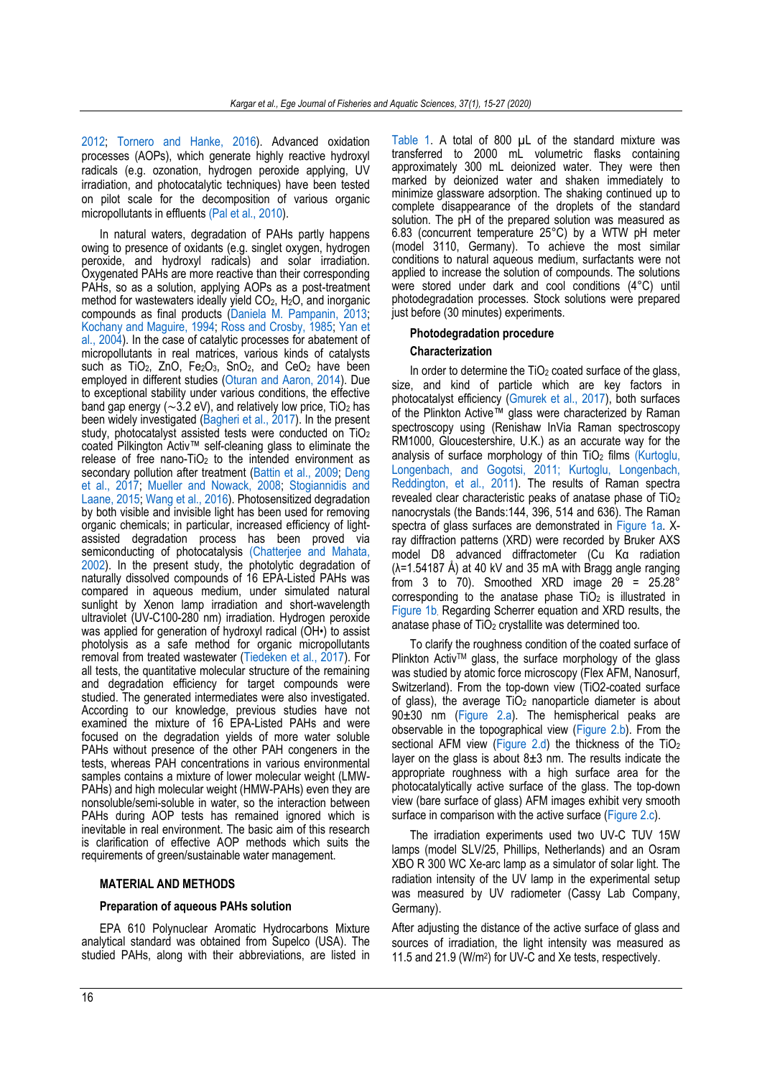[2012;](#page-12-4) [Tornero and Hanke, 2016\)](#page-12-5). Advanced oxidation processes (AOPs), which generate highly reactive hydroxyl radicals (e.g. ozonation, hydrogen peroxide applying, UV irradiation, and photocatalytic techniques) have been tested on pilot scale for the decomposition of various organic micropollutants in effluents [\(Pal et al., 2010\)](#page-11-5).

In natural waters, degradation of PAHs partly happens owing to presence of oxidants (e.g. singlet oxygen, hydrogen peroxide, and hydroxyl radicals) and solar irradiation. Oxygenated PAHs are more reactive than their corresponding PAHs, so as a solution, applying AOPs as a post-treatment method for wastewaters ideally yield  $CO<sub>2</sub>$ , H<sub>2</sub>O, and inorganic compounds as final products [\(Daniela M. Pampanin, 2013;](#page-11-6) [Kochany and Maguire, 1994;](#page-11-7) [Ross and Crosby, 1985;](#page-12-6) [Yan et](#page-12-7)  [al., 2004\)](#page-12-7). In the case of catalytic processes for abatement of micropollutants in real matrices, various kinds of catalysts such as TiO<sub>2</sub>, ZnO, Fe<sub>2</sub>O<sub>3</sub>, SnO<sub>2</sub>, and CeO<sub>2</sub> have been employed in different studies [\(Oturan and Aaron, 2014\)](#page-11-8). Due to exceptional stability under various conditions, the effective band gap energy ( $\sim$ 3.2 eV), and relatively low price, TiO<sub>2</sub> has been widely investigated [\(Bagheri et al., 2017\)](#page-11-9). In the present study, photocatalyst assisted tests were conducted on TiO<sup>2</sup> coated Pilkington Activ™ self-cleaning glass to eliminate the release of free nano-TiO<sub>2</sub> to the intended environment as secondary pollution after treatment [\(Battin et al., 2009;](#page-11-10) Deng [et al., 2017;](#page-11-11) [Mueller and Nowack, 2008;](#page-11-12) [Stogiannidis and](#page-12-8)  [Laane, 2015;](#page-12-8) [Wang et al., 2016\)](#page-12-9). Photosensitized degradation by both visible and invisible light has been used for removing organic chemicals; in particular, increased efficiency of lightassisted degradation process has been proved via semiconducting of photocatalysis [\(Chatterjee and Mahata,](#page-11-13)  [2002\)](#page-11-13). In the present study, the photolytic degradation of naturally dissolved compounds of 16 EPA-Listed PAHs was compared in aqueous medium, under simulated natural sunlight by Xenon lamp irradiation and short-wavelength ultraviolet (UV-C100-280 nm) irradiation. Hydrogen peroxide was applied for generation of hydroxyl radical (OH•) to assist photolysis as a safe method for organic micropollutants removal from treated wastewater [\(Tiedeken et al., 2017\)](#page-12-10). For all tests, the quantitative molecular structure of the remaining and degradation efficiency for target compounds were studied. The generated intermediates were also investigated. According to our knowledge, previous studies have not examined the mixture of 16 EPA-Listed PAHs and were focused on the degradation yields of more water soluble PAHs without presence of the other PAH congeners in the tests, whereas PAH concentrations in various environmental samples contains a mixture of lower molecular weight (LMW-PAHs) and high molecular weight (HMW-PAHs) even they are nonsoluble/semi-soluble in water, so the interaction between PAHs during AOP tests has remained ignored which is inevitable in real environment. The basic aim of this research is clarification of effective AOP methods which suits the requirements of green/sustainable water management.

#### **MATERIAL AND METHODS**

#### **Preparation of aqueous PAHs solution**

EPA 610 Polynuclear Aromatic Hydrocarbons Mixture analytical standard was obtained from Supelco (USA). The studied PAHs, along with their abbreviations, are listed in

[Table 1.](#page-2-0) A total of 800 µL of the standard mixture was transferred to 2000 mL volumetric flasks containing approximately 300 mL deionized water. They were then marked by deionized water and shaken immediately to minimize glassware adsorption. The shaking continued up to complete disappearance of the droplets of the standard solution. The pH of the prepared solution was measured as 6.83 (concurrent temperature 25°C) by a WTW pH meter (model 3110, Germany). To achieve the most similar conditions to natural aqueous medium, surfactants were not applied to increase the solution of compounds. The solutions were stored under dark and cool conditions (4°C) until photodegradation processes. Stock solutions were prepared just before (30 minutes) experiments.

# **Photodegradation procedure Characterization**

In order to determine the TiO<sub>2</sub> coated surface of the glass, size, and kind of particle which are key factors in photocatalyst efficiency [\(Gmurek et al., 2017\)](#page-11-14), both surfaces of the Plinkton Active™ glass were characterized by Raman spectroscopy using (Renishaw InVia Raman spectroscopy RM1000, Gloucestershire, U.K.) as an accurate way for the analysis of surface morphology of thin  $TiO<sub>2</sub>$  films (Kurtoglu, [Longenbach, and Gogotsi, 2011; Kurtoglu, Longenbach,](#page-11-15)  [Reddington, et al., 2011\)](#page-11-15). The results of Raman spectra revealed clear characteristic peaks of anatase phase of TiO<sup>2</sup> nanocrystals (the Bands:144, 396, 514 and 636). The Raman spectra of glass surfaces are demonstrated in [Figure 1a.](#page-3-0) Xray diffraction patterns (XRD) were recorded by Bruker AXS model D8 advanced diffractometer (Cu Kα radiation  $(\lambda = 1.54187 \text{ Å})$  at 40 kV and 35 mA with Bragg angle ranging from 3 to 70). Smoothed XRD image  $2\theta = 25.28^{\circ}$ corresponding to the anatase phase  $TiO<sub>2</sub>$  is illustrated in [Figure 1b](#page-3-0). Regarding Scherrer equation and XRD results, the anatase phase of  $TiO<sub>2</sub>$  crystallite was determined too.

To clarify the roughness condition of the coated surface of Plinkton Activ<sup>™</sup> glass, the surface morphology of the glass was studied by atomic force microscopy (Flex AFM, Nanosurf, Switzerland). From the top-down view (TiO2-coated surface of glass), the average TiO<sub>2</sub> nanoparticle diameter is about 90±30 nm [\(Figure 2.a\)](#page-3-1). The hemispherical peaks are observable in the topographical view [\(Figure 2.b\)](#page-3-1). From the sectional AFM view [\(Figure 2.d\)](#page-3-1) the thickness of the TiO<sub>2</sub> layer on the glass is about  $8\pm3$  nm. The results indicate the appropriate roughness with a high surface area for the photocatalytically active surface of the glass. The top-down view (bare surface of glass) AFM images exhibit very smooth surface in comparison with the active surface [\(Figure 2.c\)](#page-3-1).

The irradiation experiments used two UV-C TUV 15W lamps (model SLV/25, Phillips, Netherlands) and an Osram XBO R 300 WC Xe-arc lamp as a simulator of solar light. The radiation intensity of the UV lamp in the experimental setup was measured by UV radiometer (Cassy Lab Company, Germany).

After adjusting the distance of the active surface of glass and sources of irradiation, the light intensity was measured as 11.5 and 21.9 (W/m<sup>2</sup> ) for UV-C and Xe tests, respectively.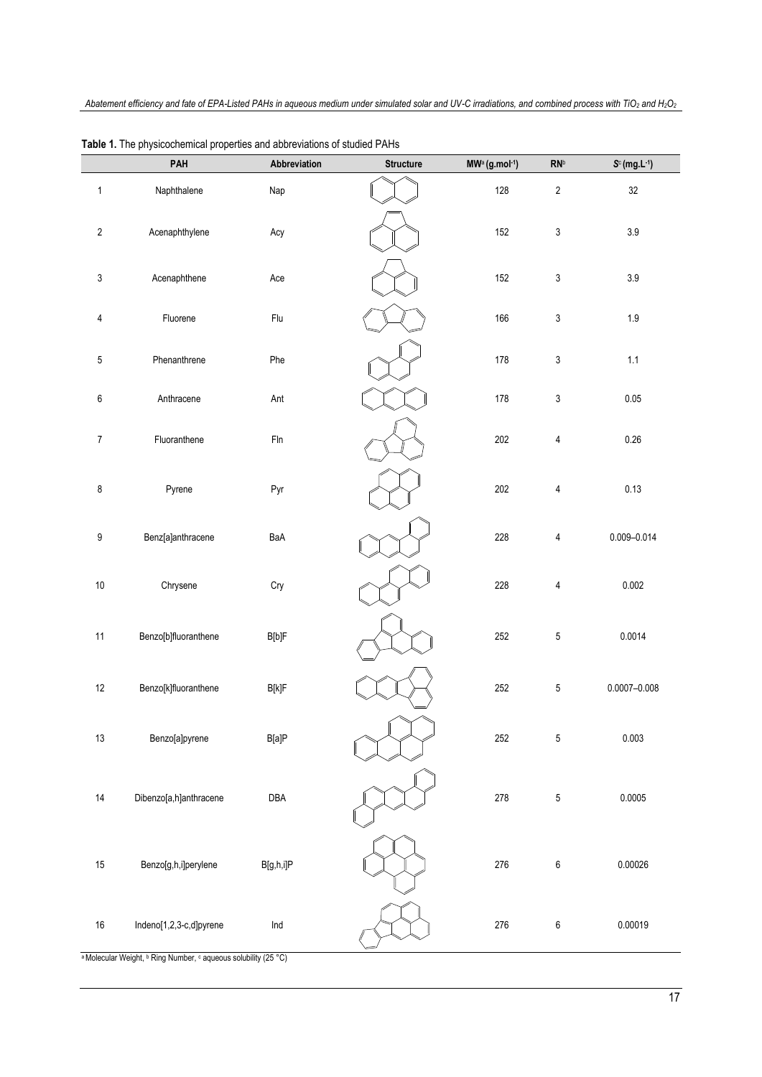|                  | PAH                     | Abbreviation                       | <b>Structure</b> | MW <sup>a</sup> (g.mol-1) | $\ensuremath{\mathsf{RN}}^{\ensuremath{\mathsf{b}}}$ | $S^c$ (mg.L-1)   |
|------------------|-------------------------|------------------------------------|------------------|---------------------------|------------------------------------------------------|------------------|
| $\mathbf 1$      | Naphthalene             | Nap                                |                  | 128                       | $\overline{2}$                                       | 32               |
| $\overline{2}$   | Acenaphthylene          | Acy                                |                  | 152                       | $\mathsf 3$                                          | $3.9\,$          |
| $\mathsf 3$      | Acenaphthene            | Ace                                |                  | 152                       | $\mathsf 3$                                          | $3.9\,$          |
| $\overline{4}$   | Fluorene                | Flu                                |                  | 166                       | $\mathsf 3$                                          | $1.9\,$          |
| $\sqrt{5}$       | Phenanthrene            | Phe                                |                  | 178                       | $\ensuremath{\mathsf{3}}$                            | $1.1$            |
| $\boldsymbol{6}$ | Anthracene              | Ant                                |                  | 178                       | $\ensuremath{\mathsf{3}}$                            | 0.05             |
| $\boldsymbol{7}$ | Fluoranthene            | $F\ln$                             |                  | 202                       | 4                                                    | 0.26             |
| $\bf 8$          | Pyrene                  | Pyr                                |                  | 202                       | 4                                                    | 0.13             |
| $\boldsymbol{9}$ | Benz[a]anthracene       | BaA                                |                  | 228                       | 4                                                    | $0.009 - 0.014$  |
| $10\,$           | Chrysene                | Cry                                |                  | 228                       | $\overline{4}$                                       | 0.002            |
| 11               | Benzo[b]fluoranthene    | B[b]F                              |                  | 252                       | $\overline{5}$                                       | 0.0014           |
| $12\,$           | Benzo[k]fluoranthene    | $\mathsf{B}[\mathsf{k}]\mathsf{F}$ |                  | 252                       | $\,$ 5 $\,$                                          | $0.0007 - 0.008$ |
| $13\,$           | Benzo[a]pyrene          | B[a]P                              |                  | 252                       | 5                                                    | 0.003            |
| 14               | Dibenzo[a,h]anthracene  | DBA                                |                  | 278                       | 5                                                    | 0.0005           |
| $15\,$           | Benzo[g,h,i]perylene    | B[g,h,i]P                          |                  | 276                       | 6                                                    | 0.00026          |
| $16\,$           | Indeno[1,2,3-c,d]pyrene | Ind                                |                  | 276                       | 6                                                    | 0.00019          |

<span id="page-2-0"></span>**Table 1.** The physicochemical properties and abbreviations of studied PAHs

a Molecular Weight, **b** Ring Number, c aqueous solubility (25 °C)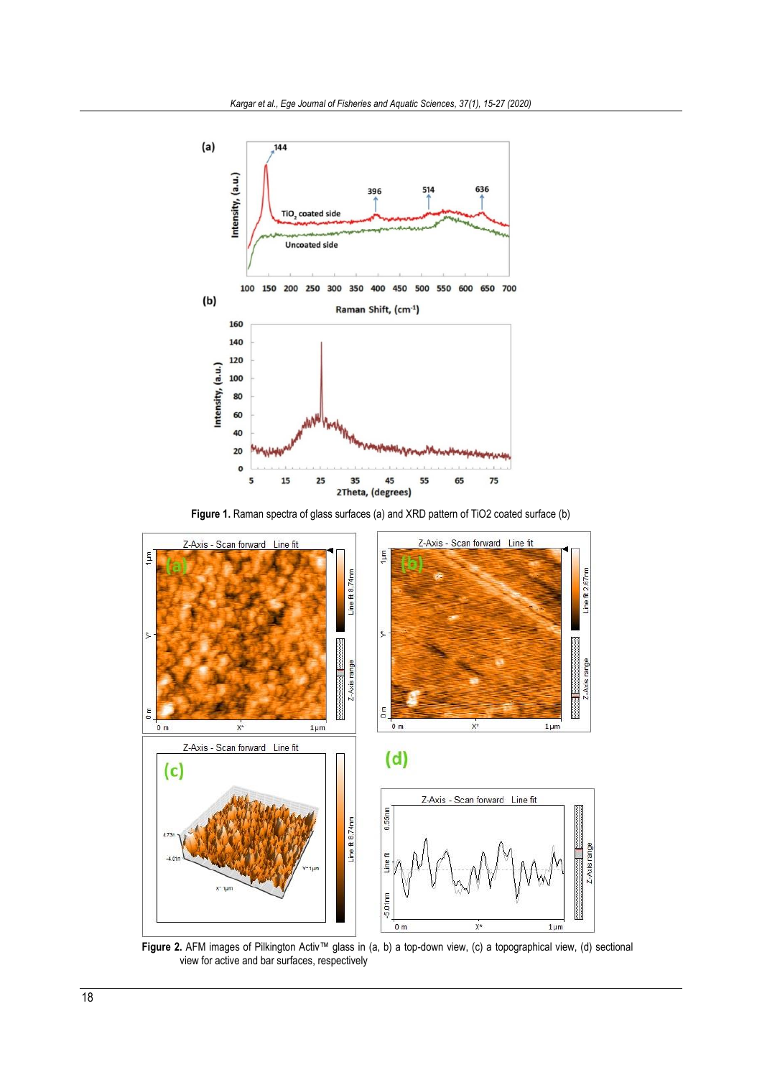

**Figure 1.** Raman spectra of glass surfaces (a) and XRD pattern of TiO2 coated surface (b)

<span id="page-3-0"></span>

<span id="page-3-1"></span> **Figure 2.** AFM images of Pilkington Activ™ glass in (a, b) a top-down view, (c) a topographical view, (d) sectional view for active and bar surfaces, respectively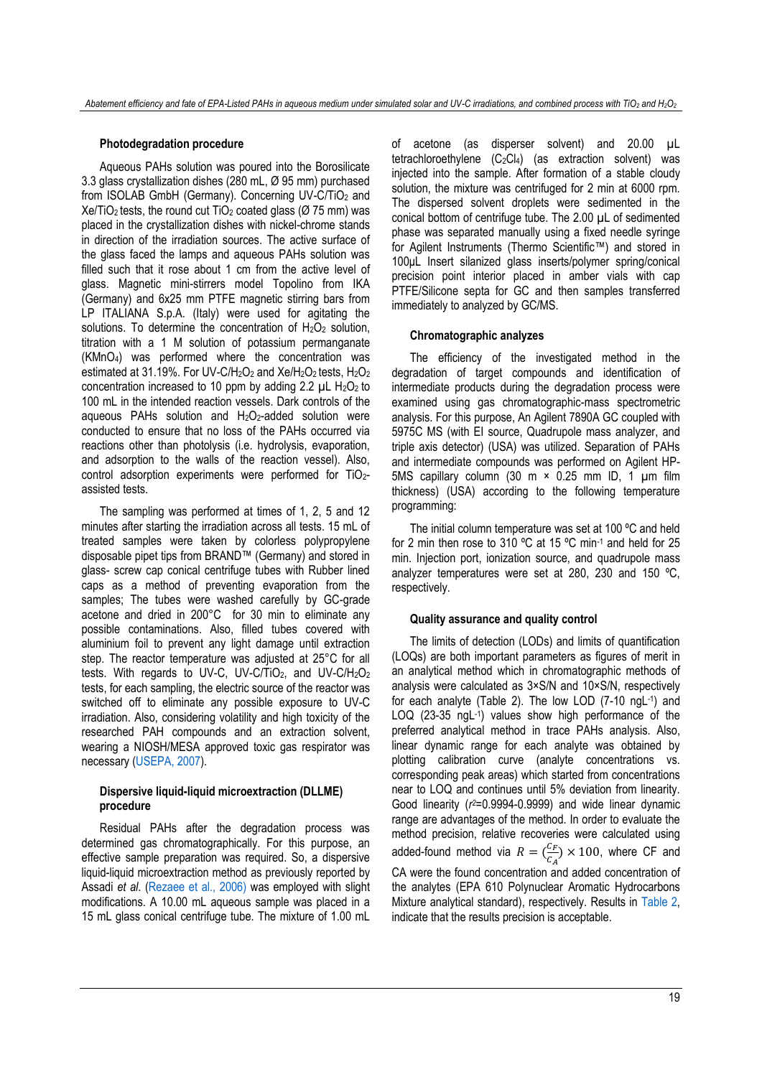# **Photodegradation procedure**

Aqueous PAHs solution was poured into the Borosilicate 3.3 glass crystallization dishes (280 mL, Ø 95 mm) purchased from ISOLAB GmbH (Germany). Concerning UV-C/TiO<sub>2</sub> and  $Xe/TiO<sub>2</sub>$  tests, the round cut TiO<sub>2</sub> coated glass ( $\varnothing$  75 mm) was placed in the crystallization dishes with nickel-chrome stands in direction of the irradiation sources. The active surface of the glass faced the lamps and aqueous PAHs solution was filled such that it rose about 1 cm from the active level of glass. Magnetic mini-stirrers model Topolino from IKA (Germany) and 6x25 mm PTFE magnetic stirring bars from LP ITALIANA S.p.A. (Italy) were used for agitating the solutions. To determine the concentration of  $H_2O_2$  solution, titration with a 1 M solution of potassium permanganate (KMnO4) was performed where the concentration was estimated at 31.19%. For UV-C/H<sub>2</sub>O<sub>2</sub> and Xe/H<sub>2</sub>O<sub>2</sub> tests, H<sub>2</sub>O<sub>2</sub> concentration increased to 10 ppm by adding 2.2  $\mu$ L H<sub>2</sub>O<sub>2</sub> to 100 mL in the intended reaction vessels. Dark controls of the aqueous PAHs solution and  $H_2O_2$ -added solution were conducted to ensure that no loss of the PAHs occurred via reactions other than photolysis (i.e. hydrolysis, evaporation, and adsorption to the walls of the reaction vessel). Also, control adsorption experiments were performed for TiO<sub>2</sub>assisted tests.

The sampling was performed at times of 1, 2, 5 and 12 minutes after starting the irradiation across all tests. 15 mL of treated samples were taken by colorless polypropylene disposable pipet tips from BRAND™ (Germany) and stored in glass- screw cap conical centrifuge tubes with Rubber lined caps as a method of preventing evaporation from the samples; The tubes were washed carefully by GC-grade acetone and dried in 200°C for 30 min to eliminate any possible contaminations. Also, filled tubes covered with aluminium foil to prevent any light damage until extraction step. The reactor temperature was adjusted at 25°C for all tests. With regards to UV-C, UV-C/TiO<sub>2</sub>, and UV-C/H<sub>2</sub>O<sub>2</sub> tests, for each sampling, the electric source of the reactor was switched off to eliminate any possible exposure to UV-C irradiation. Also, considering volatility and high toxicity of the researched PAH compounds and an extraction solvent, wearing a NIOSH/MESA approved toxic gas respirator was necessary [\(USEPA, 2007\)](#page-12-11).

# **Dispersive liquid-liquid microextraction (DLLME) procedure**

<span id="page-4-0"></span>Residual PAHs after the degradation process was determined gas chromatographically. For this purpose, an effective sample preparation was required. So, a dispersive liquid-liquid microextraction method as previously reported by Assadi *et al*. [\(Rezaee et al., 2006\)](#page-11-16) was employed with slight modifications. A 10.00 mL aqueous sample was placed in a 15 mL glass conical centrifuge tube. The mixture of 1.00 mL

of acetone (as disperser solvent) and 20.00 µL tetrachloroethylene  $(C_2Cl_4)$  (as extraction solvent) was injected into the sample. After formation of a stable cloudy solution, the mixture was centrifuged for 2 min at 6000 rpm. The dispersed solvent droplets were sedimented in the conical bottom of centrifuge tube. The 2.00 µL of sedimented phase was separated manually using a fixed needle syringe for Agilent Instruments (Thermo Scientific™) and stored in 100uL Insert silanized glass inserts/polymer spring/conical precision point interior placed in amber vials with cap PTFE/Silicone septa for GC and then samples transferred immediately to analyzed by GC/MS.

# **Chromatographic analyzes**

The efficiency of the investigated method in the degradation of target compounds and identification of intermediate products during the degradation process were examined using gas chromatographic-mass spectrometric analysis. For this purpose, An Agilent 7890A GC coupled with 5975C MS (with EI source, Quadrupole mass analyzer, and triple axis detector) (USA) was utilized. Separation of PAHs and intermediate compounds was performed on Agilent HP-5MS capillary column (30 m  $\times$  0.25 mm ID, 1 µm film thickness) (USA) according to the following temperature programming:

The initial column temperature was set at 100 ºC and held for 2 min then rose to 310 ºC at 15 ºC min-1 and held for 25 min. Injection port, ionization source, and quadrupole mass analyzer temperatures were set at 280, 230 and 150 ºC, respectively.

#### **Quality assurance and quality control**

The limits of detection (LODs) and limits of quantification (LOQs) are both important parameters as figures of merit in an analytical method which in chromatographic methods of analysis were calculated as 3×S/N and 10×S/N, respectively for each analyte (Table 2). The low LOD (7-10 ngL-1 ) and LOQ (23-35 ngL-1 ) values show high performance of the preferred analytical method in trace PAHs analysis. Also, linear dynamic range for each analyte was obtained by plotting calibration curve (analyte concentrations vs. corresponding peak areas) which started from concentrations near to LOQ and continues until 5% deviation from linearity. Good linearity (*r <sup>2</sup>*=0.9994-0.9999) and wide linear dynamic range are advantages of the method. In order to evaluate the method precision, relative recoveries were calculated using added-found method via  $R = \begin{pmatrix} C_F & C_F \end{pmatrix}$  $\frac{C_F}{C_A}$  × 100, where CF and CA were the found concentration and added concentration of the analytes (EPA 610 Polynuclear Aromatic Hydrocarbons Mixture analytical standard), respectively. Results in [Table 2,](#page-4-0) indicate that the results precision is acceptable.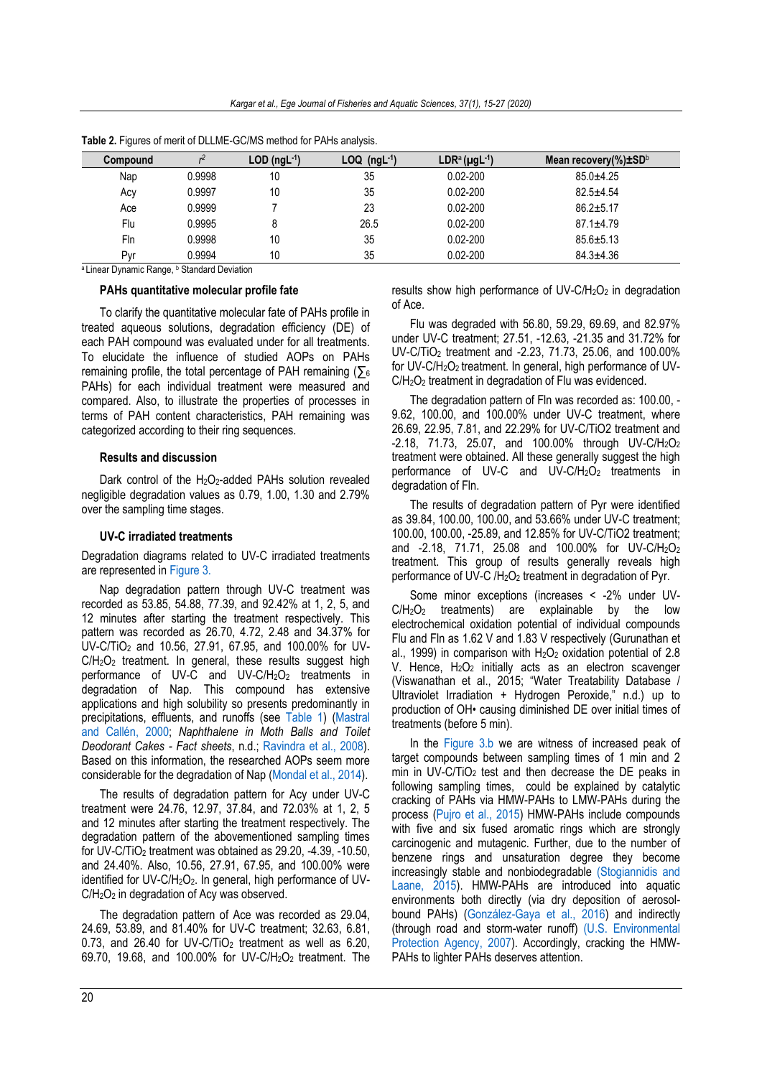| Compound |        | $LOD$ (ngL $-1$ ) | $LOQ$ (ngL <sup>-1</sup> ) | $LDR^a(\mu gL^{-1})$ | Mean recovery(%) $\pm$ SD <sup>b</sup> |
|----------|--------|-------------------|----------------------------|----------------------|----------------------------------------|
| Nap      | 0.9998 | 10                | 35                         | $0.02 - 200$         | $85.0 + 4.25$                          |
| Асу      | 0.9997 | 10                | 35                         | $0.02 - 200$         | $82.5 + 4.54$                          |
| Ace      | 0.9999 |                   | 23                         | $0.02 - 200$         | $86.2 \pm 5.17$                        |
| Flu      | 0.9995 | 8                 | 26.5                       | $0.02 - 200$         | $87.1 \pm 4.79$                        |
| Fln      | 0.9998 | 10                | 35                         | $0.02 - 200$         | $85.6 \pm 5.13$                        |
| Pvr      | 0.9994 | 10                | 35                         | $0.02 - 200$         | $84.3 + 4.36$                          |

**Table 2.** Figures of merit of DLLME-GC/MS method for PAHs analysis.

<sup>a</sup> Linear Dynamic Range, <sup>b</sup> Standard Deviation

### **PAHs quantitative molecular profile fate**

To clarify the quantitative molecular fate of PAHs profile in treated aqueous solutions, degradation efficiency (DE) of each PAH compound was evaluated under for all treatments. To elucidate the influence of studied AOPs on PAHs remaining profile, the total percentage of PAH remaining ( $\Sigma_6$ PAHs) for each individual treatment were measured and compared. Also, to illustrate the properties of processes in terms of PAH content characteristics, PAH remaining was categorized according to their ring sequences.

# **Results and discussion**

Dark control of the H<sub>2</sub>O<sub>2</sub>-added PAHs solution revealed negligible degradation values as 0.79, 1.00, 1.30 and 2.79% over the sampling time stages.

#### **UV-C irradiated treatments**

Degradation diagrams related to UV-C irradiated treatments are represented i[n Figure 3.](#page-6-0)

Nap degradation pattern through UV-C treatment was recorded as 53.85, 54.88, 77.39, and 92.42% at 1, 2, 5, and 12 minutes after starting the treatment respectively. This pattern was recorded as 26.70, 4.72, 2.48 and 34.37% for UV-C/TiO<sup>2</sup> and 10.56, 27.91, 67.95, and 100.00% for UV-C/H<sub>2</sub>O<sub>2</sub> treatment. In general, these results suggest high performance of UV-C and UV-C/H<sub>2</sub>O<sub>2</sub> treatments in degradation of Nap. This compound has extensive applications and high solubility so presents predominantly in precipitations, effluents, and runoffs (see [Table 1\)](#page-2-0) [\(Mastral](#page-11-17)  [and Callén, 2000;](#page-11-17) *Naphthalene in Moth Balls and Toilet Deodorant Cakes - Fact sheets*, n.d.; [Ravindra et al., 2008\)](#page-11-18). Based on this information, the researched AOPs seem more considerable for the degradation of Nap [\(Mondal et al., 2014\)](#page-11-19).

The results of degradation pattern for Acy under UV-C treatment were 24.76, 12.97, 37.84, and 72.03% at 1, 2, 5 and 12 minutes after starting the treatment respectively. The degradation pattern of the abovementioned sampling times for UV-C/TiO<sub>2</sub> treatment was obtained as  $29.20$ ,  $-4.39$ ,  $-10.50$ , and 24.40%. Also, 10.56, 27.91, 67.95, and 100.00% were identified for UV-C/H<sub>2</sub>O<sub>2</sub>. In general, high performance of UV-C/H2O<sup>2</sup> in degradation of Acy was observed.

The degradation pattern of Ace was recorded as 29.04, 24.69, 53.89, and 81.40% for UV-C treatment; 32.63, 6.81, 0.73, and 26.40 for UV-C/TiO<sub>2</sub> treatment as well as  $6.20$ , 69.70, 19.68, and 100.00% for UV-C/H2O2 treatment. The results show high performance of UV-C/H<sub>2</sub>O<sub>2</sub> in degradation of Ace.

Flu was degraded with 56.80, 59.29, 69.69, and 82.97% under UV-C treatment; 27.51, -12.63, -21.35 and 31.72% for UV-C/TiO<sup>2</sup> treatment and -2.23, 71.73, 25.06, and 100.00% for UV-C/H2O2 treatment. In general, high performance of UV-C/H<sub>2</sub>O<sub>2</sub> treatment in degradation of Flu was evidenced.

The degradation pattern of Fln was recorded as: 100.00, - 9.62, 100.00, and 100.00% under UV-C treatment, where 26.69, 22.95, 7.81, and 22.29% for UV-C/TiO2 treatment and -2.18, 71.73, 25.07, and 100.00% through UV-C/H2O<sup>2</sup> treatment were obtained. All these generally suggest the high performance of UV-C and  $UV-C/H<sub>2</sub>O<sub>2</sub>$  treatments in degradation of Fln.

The results of degradation pattern of Pyr were identified as 39.84, 100.00, 100.00, and 53.66% under UV-C treatment; 100.00, 100.00, -25.89, and 12.85% for UV-C/TiO2 treatment; and -2.18, 71.71, 25.08 and 100.00% for UV-C/H2O<sup>2</sup> treatment. This group of results generally reveals high performance of UV-C /H2O<sup>2</sup> treatment in degradation of Pyr.

Some minor exceptions (increases < -2% under UV- $C/H<sub>2</sub>O<sub>2</sub>$  treatments) are explainable by the low electrochemical oxidation potential of individual compounds Flu and Fln as 1.62 V and 1.83 V respectively (Gurunathan et al., 1999) in comparison with  $H_2O_2$  oxidation potential of 2.8 V. Hence, H<sub>2</sub>O<sub>2</sub> initially acts as an electron scavenger (Viswanathan et al., 2015; "Water Treatability Database / Ultraviolet Irradiation + Hydrogen Peroxide," n.d.) up to production of OH• causing diminished DE over initial times of treatments (before 5 min).

In the [Figure 3.b](#page-6-0) we are witness of increased peak of target compounds between sampling times of 1 min and 2 min in UV-C/TiO<sub>2</sub> test and then decrease the DE peaks in following sampling times, could be explained by catalytic cracking of PAHs via HMW-PAHs to LMW-PAHs during the process [\(Pujro et al., 2015\)](#page-11-20) HMW-PAHs include compounds with five and six fused aromatic rings which are strongly carcinogenic and mutagenic. Further, due to the number of benzene rings and unsaturation degree they become increasingly stable and nonbiodegradable [\(Stogiannidis and](#page-12-8)  [Laane, 2015\)](#page-12-8). HMW-PAHs are introduced into aquatic environments both directly (via dry deposition of aerosolbound PAHs) [\(González-Gaya et al., 2016\)](#page-11-21) and indirectly (through road and storm-water runoff) [\(U.S. Environmental](#page-12-12)  [Protection Agency, 2007\)](#page-12-12). Accordingly, cracking the HMW-PAHs to lighter PAHs deserves attention.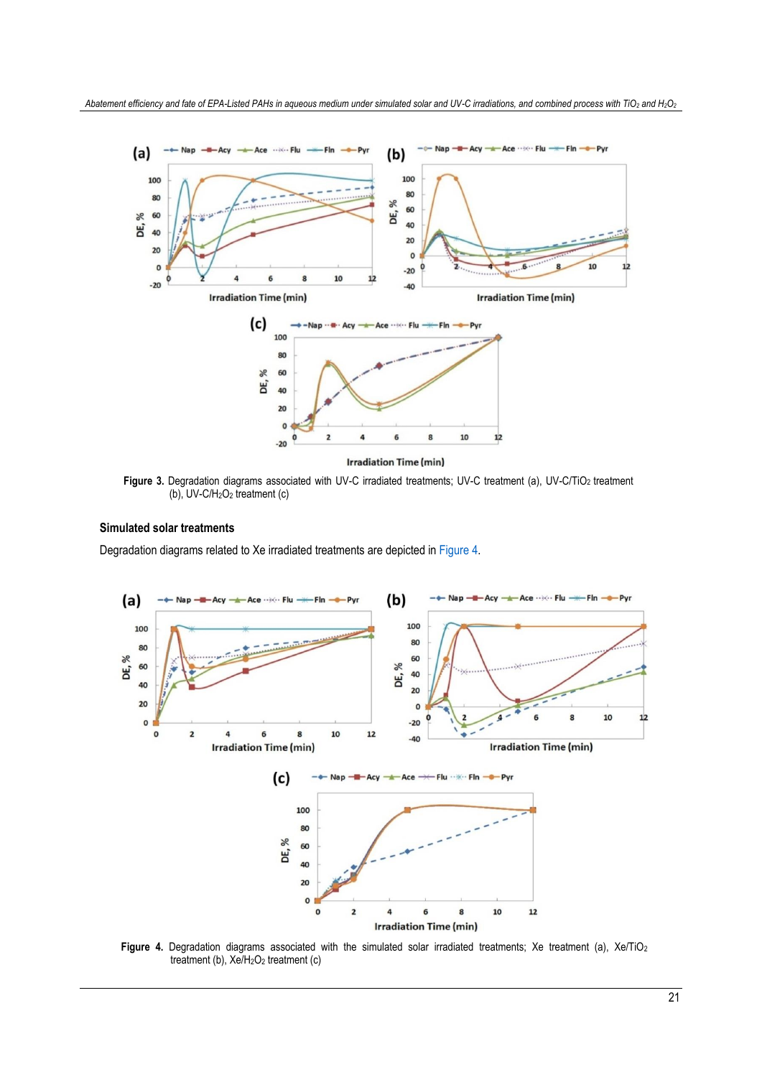

<span id="page-6-0"></span>Figure 3. Degradation diagrams associated with UV-C irradiated treatments; UV-C treatment (a), UV-C/TiO<sub>2</sub> treatment (b), UV-C/H2O<sup>2</sup> treatment (c)

# **Simulated solar treatments**

Degradation diagrams related to Xe irradiated treatments are depicted i[n Figure 4.](#page-6-1)



<span id="page-6-1"></span>Figure 4. Degradation diagrams associated with the simulated solar irradiated treatments; Xe treatment (a), Xe/TiO<sub>2</sub> treatment (b), Xe/H<sub>2</sub>O<sub>2</sub> treatment (c)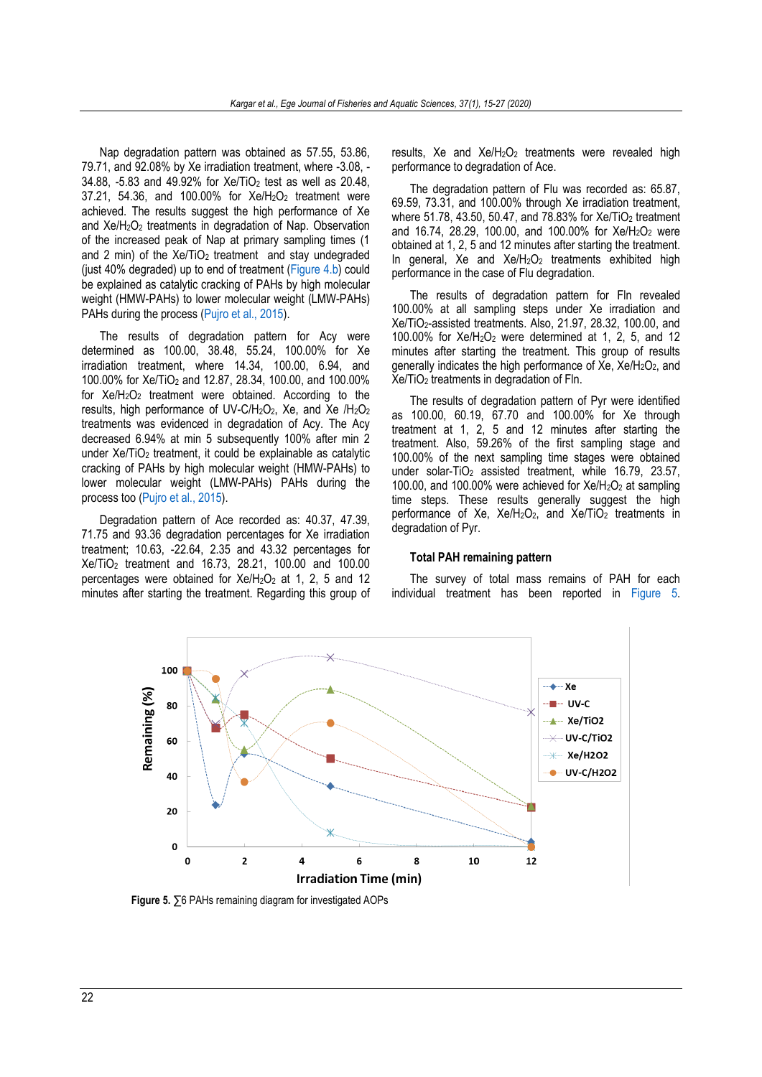Nap degradation pattern was obtained as 57.55, 53.86, 79.71, and 92.08% by Xe irradiation treatment, where -3.08, - 34.88, -5.83 and 49.92% for Xe/TiO<sup>2</sup> test as well as 20.48, 37.21, 54.36, and 100.00% for Xe/H2O<sup>2</sup> treatment were achieved. The results suggest the high performance of Xe and Xe/H2O<sup>2</sup> treatments in degradation of Nap. Observation of the increased peak of Nap at primary sampling times (1 and 2 min) of the  $Xe/TiO<sub>2</sub>$  treatment and stay undegraded (just 40% degraded) up to end of treatment [\(Figure 4.b\)](#page-6-1) could be explained as catalytic cracking of PAHs by high molecular weight (HMW-PAHs) to lower molecular weight (LMW-PAHs) PAHs during the process [\(Pujro et al., 2015\)](#page-11-20).

The results of degradation pattern for Acy were determined as 100.00, 38.48, 55.24, 100.00% for Xe irradiation treatment, where 14.34, 100.00, 6.94, and 100.00% for Xe/TiO<sup>2</sup> and 12.87, 28.34, 100.00, and 100.00% for  $Xe/H<sub>2</sub>O<sub>2</sub>$  treatment were obtained. According to the results, high performance of UV-C/H<sub>2</sub>O<sub>2</sub>, Xe, and Xe /H<sub>2</sub>O<sub>2</sub> treatments was evidenced in degradation of Acy. The Acy decreased 6.94% at min 5 subsequently 100% after min 2 under Xe/TiO<sub>2</sub> treatment, it could be explainable as catalytic cracking of PAHs by high molecular weight (HMW-PAHs) to lower molecular weight (LMW-PAHs) PAHs during the process too [\(Pujro et al., 2015\)](#page-11-20).

Degradation pattern of Ace recorded as: 40.37, 47.39, 71.75 and 93.36 degradation percentages for Xe irradiation treatment; 10.63, -22.64, 2.35 and 43.32 percentages for Xe/TiO<sup>2</sup> treatment and 16.73, 28.21, 100.00 and 100.00 percentages were obtained for  $Xe/H<sub>2</sub>O<sub>2</sub>$  at 1, 2, 5 and 12 minutes after starting the treatment. Regarding this group of results, Xe and Xe/H<sub>2</sub>O<sub>2</sub> treatments were revealed high performance to degradation of Ace.

The degradation pattern of Flu was recorded as: 65.87, 69.59, 73.31, and 100.00% through Xe irradiation treatment, where 51.78, 43.50, 50.47, and 78.83% for Xe/TiO<sub>2</sub> treatment and 16.74, 28.29, 100.00, and 100.00% for Xe/H2O<sup>2</sup> were obtained at 1, 2, 5 and 12 minutes after starting the treatment. In general, Xe and  $Xe/H<sub>2</sub>O<sub>2</sub>$  treatments exhibited high performance in the case of Flu degradation.

The results of degradation pattern for Fln revealed 100.00% at all sampling steps under Xe irradiation and Xe/TiO2-assisted treatments. Also, 21.97, 28.32, 100.00, and 100.00% for  $Xe/H<sub>2</sub>O<sub>2</sub>$  were determined at 1, 2, 5, and 12 minutes after starting the treatment. This group of results generally indicates the high performance of  $Xe$ ,  $Xe/H<sub>2</sub>O<sub>2</sub>$ , and Xe/TiO<sup>2</sup> treatments in degradation of Fln.

The results of degradation pattern of Pyr were identified as 100.00, 60.19, 67.70 and 100.00% for Xe through treatment at 1, 2, 5 and 12 minutes after starting the treatment. Also, 59.26% of the first sampling stage and 100.00% of the next sampling time stages were obtained under solar-TiO<sub>2</sub> assisted treatment, while 16.79, 23.57, 100.00, and 100.00% were achieved for  $Xe/H<sub>2</sub>O<sub>2</sub>$  at sampling time steps. These results generally suggest the high performance of Xe,  $Xe/H<sub>2</sub>O<sub>2</sub>$  and  $Xe/TIO<sub>2</sub>$  treatments in degradation of Pyr.

#### **Total PAH remaining pattern**

The survey of total mass remains of PAH for each individual treatment has been reported in [Figure 5.](#page-7-0)



<span id="page-7-0"></span> **Figure 5.** ∑6 PAHs remaining diagram for investigated AOPs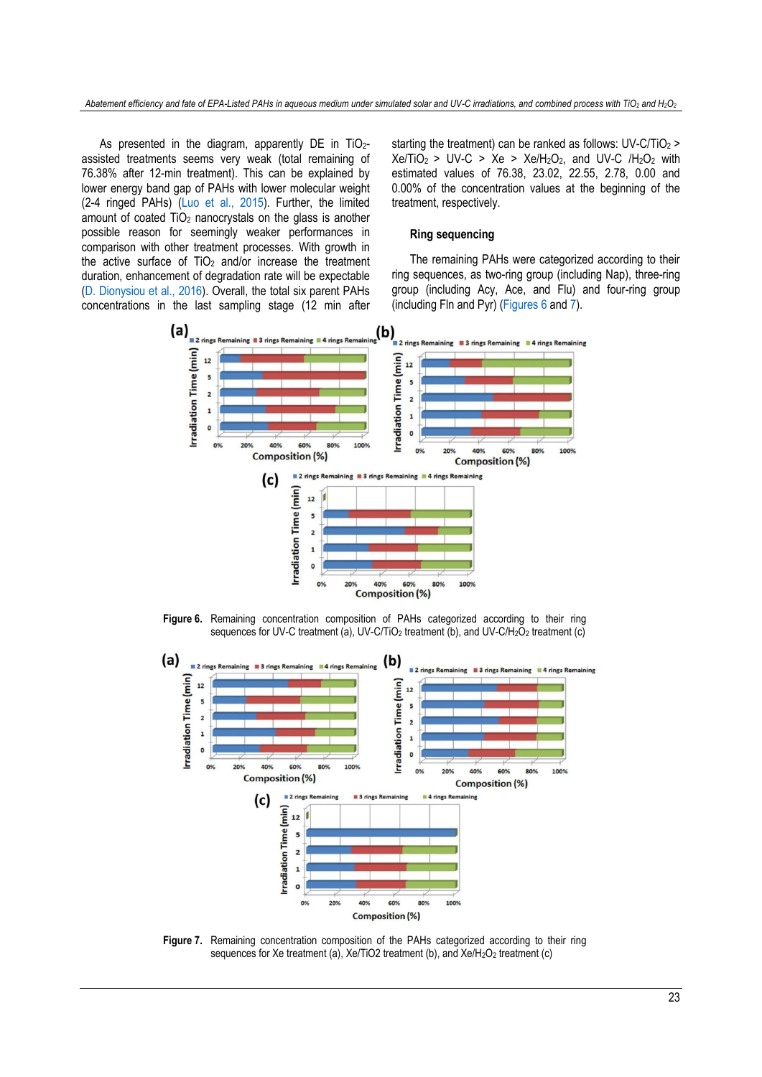As presented in the diagram, apparently DE in TiO2assisted treatments seems very weak (total remaining of 76.38% after 12-min treatment). This can be explained by lower energy band gap of PAHs with lower molecular weight (2-4 ringed PAHs) [\(Luo et al., 2015\)](#page-11-22). Further, the limited amount of coated TiO<sup>2</sup> nanocrystals on the glass is another possible reason for seemingly weaker performances in comparison with other treatment processes. With growth in the active surface of  $TiO<sub>2</sub>$  and/or increase the treatment duration, enhancement of degradation rate will be expectable [\(D. Dionysiou et al., 2016\)](#page-11-23). Overall, the total six parent PAHs concentrations in the last sampling stage (12 min after starting the treatment) can be ranked as follows: UV-C/TiO<sub>2</sub> >  $Xe/TiO<sub>2</sub> > UV-C > Xe > Xe/H<sub>2</sub>O<sub>2</sub>$ , and UV-C /H<sub>2</sub>O<sub>2</sub> with estimated values of 76.38, 23.02, 22.55, 2.78, 0.00 and 0.00% of the concentration values at the beginning of the treatment, respectively.

# **Ring sequencing**

The remaining PAHs were categorized according to their ring sequences, as two-ring group (including Nap), three-ring group (including Acy, Ace, and Flu) and four-ring group (including Fln and Pyr) [\(Figures 6](#page-8-0) an[d 7\)](#page-8-1).



**Figure 6.** Remaining concentration composition of PAHs categorized according to their ring sequences for UV-C treatment (a), UV-C/TiO<sub>2</sub> treatment (b), and UV-C/H<sub>2</sub>O<sub>2</sub> treatment (c)

<span id="page-8-0"></span>

<span id="page-8-1"></span>**Figure 7.** Remaining concentration composition of the PAHs categorized according to their ring sequences for Xe treatment (a), Xe/TiO2 treatment (b), and Xe/H<sub>2</sub>O<sub>2</sub> treatment (c)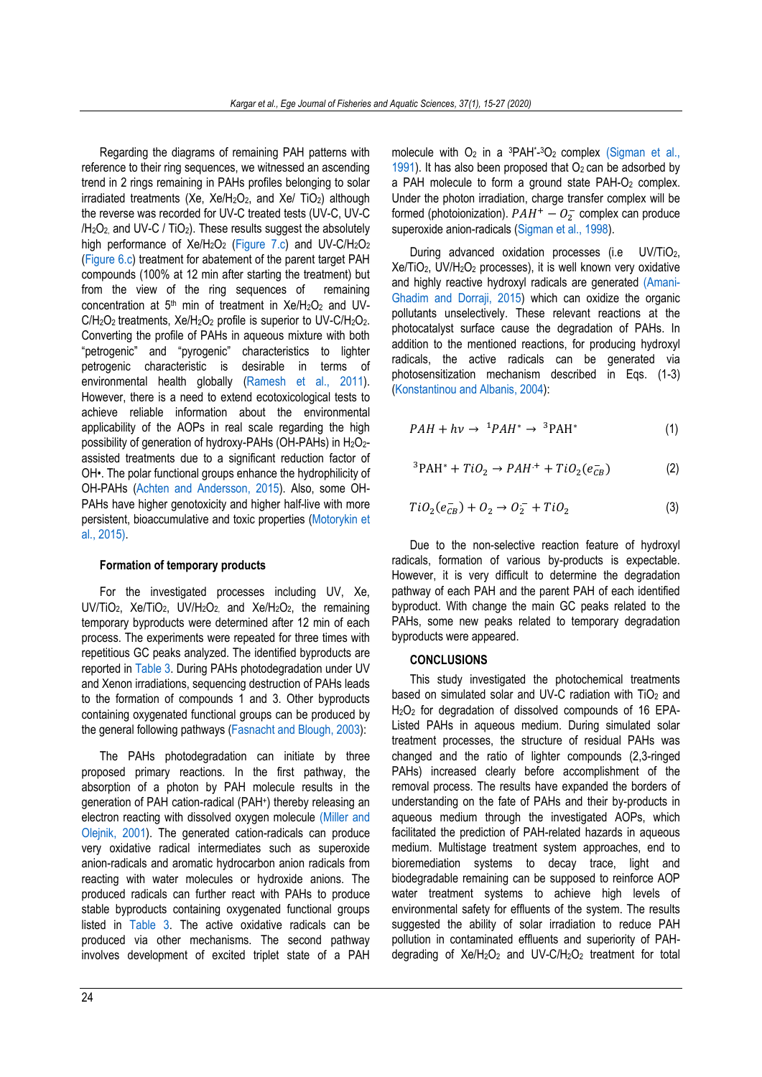Regarding the diagrams of remaining PAH patterns with reference to their ring sequences, we witnessed an ascending trend in 2 rings remaining in PAHs profiles belonging to solar  $irradiated$  treatments (Xe,  $Xe/H<sub>2</sub>O<sub>2</sub>$ , and  $Xe/TIO<sub>2</sub>$ ) although the reverse was recorded for UV-C treated tests (UV-C, UV-C  $/H<sub>2</sub>O<sub>2</sub>$  and UV-C / TiO<sub>2</sub>). These results suggest the absolutely high performance of Xe/H<sub>2</sub>O<sub>2</sub> [\(Figure 7.c\)](#page-8-1) and UV-C/H<sub>2</sub>O<sub>2</sub> [\(Figure 6.c\)](#page-8-0) treatment for abatement of the parent target PAH compounds (100% at 12 min after starting the treatment) but from the view of the ring sequences of remaining concentration at  $5<sup>th</sup>$  min of treatment in Xe/H<sub>2</sub>O<sub>2</sub> and UV- $C/H<sub>2</sub>O<sub>2</sub>$  treatments,  $Xe/H<sub>2</sub>O<sub>2</sub>$  profile is superior to UV-C/H<sub>2</sub>O<sub>2</sub>. Converting the profile of PAHs in aqueous mixture with both "petrogenic" and "pyrogenic" characteristics to lighter petrogenic characteristic is desirable in terms of environmental health globally [\(Ramesh et al., 2011\)](#page-11-24). However, there is a need to extend ecotoxicological tests to achieve reliable information about the environmental applicability of the AOPs in real scale regarding the high possibility of generation of hydroxy-PAHs (OH-PAHs) in H<sub>2</sub>O<sub>2</sub>assisted treatments due to a significant reduction factor of OH•. The polar functional groups enhance the hydrophilicity of OH-PAHs [\(Achten and Andersson, 2015\)](#page-11-25). Also, some OH-PAHs have higher genotoxicity and higher half-live with more persistent, bioaccumulative and toxic properties [\(Motorykin et](#page-11-26)  [al., 2015\).](#page-11-26)

#### **Formation of temporary products**

For the investigated processes including UV, Xe, UV/TiO2, Xe/TiO2, UV/H2O2, and Xe/H2O2, the remaining temporary byproducts were determined after 12 min of each process. The experiments were repeated for three times with repetitious GC peaks analyzed. The identified byproducts are reported i[n Table 3.](#page-10-0) During PAHs photodegradation under UV and Xenon irradiations, sequencing destruction of PAHs leads to the formation of compounds 1 and 3. Other byproducts containing oxygenated functional groups can be produced by the general following pathways [\(Fasnacht and Blough, 2003\)](#page-11-27):

The PAHs photodegradation can initiate by three proposed primary reactions. In the first pathway, the absorption of a photon by PAH molecule results in the generation of PAH cation-radical (PAH<sup>+</sup> ) thereby releasing an electron reacting with dissolved oxygen molecule [\(Miller and](#page-11-28)  [Olejnik, 2001\)](#page-11-28). The generated cation-radicals can produce very oxidative radical intermediates such as superoxide anion-radicals and aromatic hydrocarbon anion radicals from reacting with water molecules or hydroxide anions. The produced radicals can further react with PAHs to produce stable byproducts containing oxygenated functional groups listed in [Table 3.](#page-10-0) The active oxidative radicals can be produced via other mechanisms. The second pathway involves development of excited triplet state of a PAH

molecule with  $O_2$  in a  ${}^{3}PAH^{*}$ - ${}^{3}O_2$  complex (Sigman et al., [1991\)](#page-12-13). It has also been proposed that  $O<sub>2</sub>$  can be adsorbed by a PAH molecule to form a ground state PAH-O<sub>2</sub> complex. Under the photon irradiation, charge transfer complex will be formed (photoionization).  $PAH^+ - O_2^-$  complex can produce superoxide anion-radicals [\(Sigman et al., 1998\)](#page-12-14).

During advanced oxidation processes (i.e UV/TiO2, Xe/TiO2, UV/H2O<sup>2</sup> processes), it is well known very oxidative and highly reactive hydroxyl radicals are generated [\(Amani-](#page-11-29)[Ghadim and Dorraji, 2015\)](#page-11-29) which can oxidize the organic pollutants unselectively. These relevant reactions at the photocatalyst surface cause the degradation of PAHs. In addition to the mentioned reactions, for producing hydroxyl radicals, the active radicals can be generated via photosensitization mechanism described in Eqs. (1-3) [\(Konstantinou and Albanis, 2004\)](#page-11-30):

$$
PAH + hv \rightarrow {}^{1}PAH^{*} \rightarrow {}^{3}PAH^{*}
$$
 (1)

$$
{}^{3}\text{PAH}^{*} + TiO_{2} \rightarrow PAH^{+} + TiO_{2}(e_{CB}^{-})
$$
 (2)

$$
TiO2(eCB-) + O2 \rightarrow O2- + TiO2
$$
\n(3)

Due to the non-selective reaction feature of hydroxyl radicals, formation of various by-products is expectable. However, it is very difficult to determine the degradation pathway of each PAH and the parent PAH of each identified byproduct. With change the main GC peaks related to the PAHs, some new peaks related to temporary degradation byproducts were appeared.

#### **CONCLUSIONS**

This study investigated the photochemical treatments based on simulated solar and UV-C radiation with  $TiO<sub>2</sub>$  and H2O<sup>2</sup> for degradation of dissolved compounds of 16 EPA-Listed PAHs in aqueous medium. During simulated solar treatment processes, the structure of residual PAHs was changed and the ratio of lighter compounds (2,3-ringed PAHs) increased clearly before accomplishment of the removal process. The results have expanded the borders of understanding on the fate of PAHs and their by-products in aqueous medium through the investigated AOPs, which facilitated the prediction of PAH-related hazards in aqueous medium. Multistage treatment system approaches, end to bioremediation systems to decay trace, light and biodegradable remaining can be supposed to reinforce AOP water treatment systems to achieve high levels of environmental safety for effluents of the system. The results suggested the ability of solar irradiation to reduce PAH pollution in contaminated effluents and superiority of PAHdegrading of  $Xe/H<sub>2</sub>O<sub>2</sub>$  and UV-C/H<sub>2</sub>O<sub>2</sub> treatment for total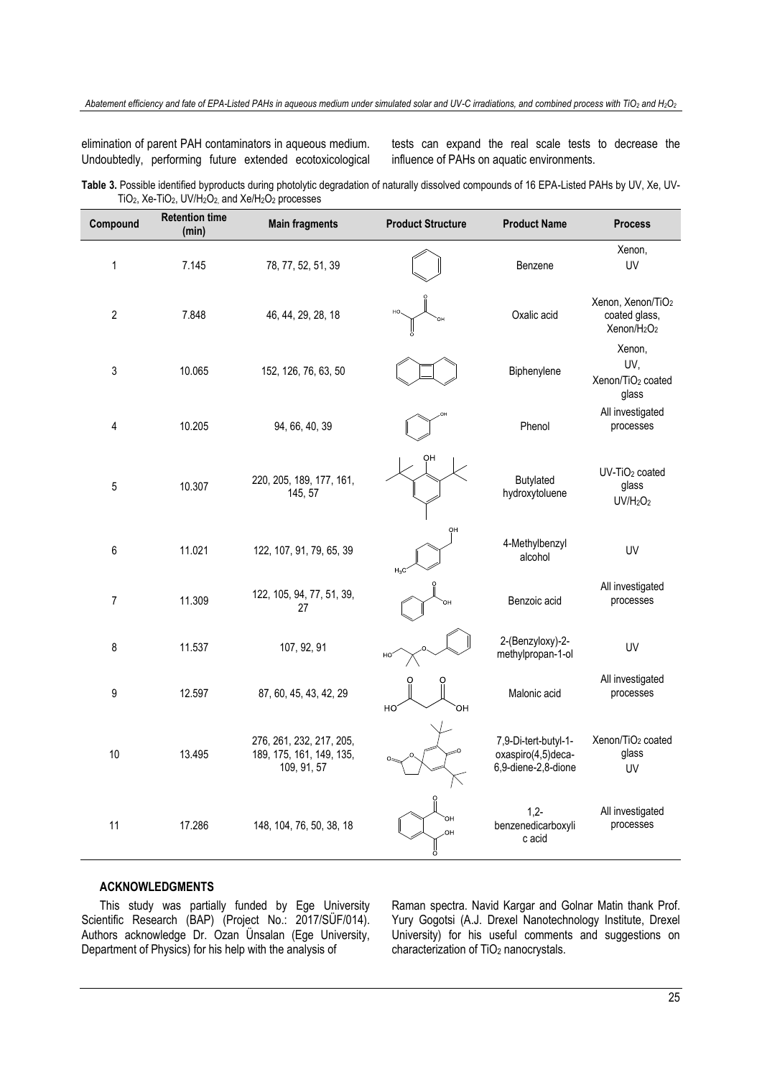elimination of parent PAH contaminators in aqueous medium. Undoubtedly, performing future extended ecotoxicological tests can expand the real scale tests to decrease the influence of PAHs on aquatic environments.

<span id="page-10-0"></span>**Table 3.** Possible identified byproducts during photolytic degradation of naturally dissolved compounds of 16 EPA-Listed PAHs by UV, Xe, UV-TiO<sub>2</sub>, Xe-TiO<sub>2</sub>, UV/H<sub>2</sub>O<sub>2</sub>, and Xe/H<sub>2</sub>O<sub>2</sub> processes

| Compound                | <b>Retention time</b><br>(min) | <b>Main fragments</b>                                               | <b>Product Structure</b> | <b>Product Name</b>                                               | <b>Process</b>                                                                        |
|-------------------------|--------------------------------|---------------------------------------------------------------------|--------------------------|-------------------------------------------------------------------|---------------------------------------------------------------------------------------|
| $\mathbf{1}$            | 7.145                          | 78, 77, 52, 51, 39                                                  |                          | Benzene                                                           | Xenon,<br>UV                                                                          |
| $\overline{\mathbf{c}}$ | 7.848                          | 46, 44, 29, 28, 18                                                  |                          | Oxalic acid                                                       | Xenon, Xenon/TiO <sub>2</sub><br>coated glass,<br>Xenon/H <sub>2</sub> O <sub>2</sub> |
| 3                       | 10.065                         | 152, 126, 76, 63, 50                                                |                          | Biphenylene                                                       | Xenon,<br>UV,<br>Xenon/TiO <sub>2</sub> coated<br>glass                               |
| 4                       | 10.205                         | 94, 66, 40, 39                                                      |                          | Phenol                                                            | All investigated<br>processes                                                         |
| 5                       | 10.307                         | 220, 205, 189, 177, 161,<br>145, 57                                 | OH                       | Butylated<br>hydroxytoluene                                       | UV-TiO <sub>2</sub> coated<br>glass<br>UV/H <sub>2</sub> O <sub>2</sub>               |
| 6                       | 11.021                         | 122, 107, 91, 79, 65, 39                                            | OH                       | 4-Methylbenzyl<br>alcohol                                         | UV                                                                                    |
| 7                       | 11.309                         | 122, 105, 94, 77, 51, 39,<br>27                                     |                          | Benzoic acid                                                      | All investigated<br>processes                                                         |
| 8                       | 11.537                         | 107, 92, 91                                                         | HO                       | 2-(Benzyloxy)-2-<br>methylpropan-1-ol                             | <b>UV</b>                                                                             |
| 9                       | 12.597                         | 87, 60, 45, 43, 42, 29                                              | ЮH<br>HO                 | Malonic acid                                                      | All investigated<br>processes                                                         |
| 10                      | 13.495                         | 276, 261, 232, 217, 205,<br>189, 175, 161, 149, 135,<br>109, 91, 57 |                          | 7,9-Di-tert-butyl-1-<br>oxaspiro(4,5)deca-<br>6,9-diene-2,8-dione | Xenon/TiO <sub>2</sub> coated<br>glass<br>UV                                          |
| 11                      | 17.286                         | 148, 104, 76, 50, 38, 18                                            | OН<br>OН<br>Ö            | $1,2-$<br>benzenedicarboxyli<br>c acid                            | All investigated<br>processes                                                         |

### **ACKNOWLEDGMENTS**

This study was partially funded by Ege University Scientific Research (BAP) (Project No.: 2017/SÜF/014). Authors acknowledge Dr. Ozan Ünsalan (Ege University, Department of Physics) for his help with the analysis of

Raman spectra. Navid Kargar and Golnar Matin thank Prof. Yury Gogotsi (A.J. Drexel Nanotechnology Institute, Drexel University) for his useful comments and suggestions on characterization of TiO<sub>2</sub> nanocrystals.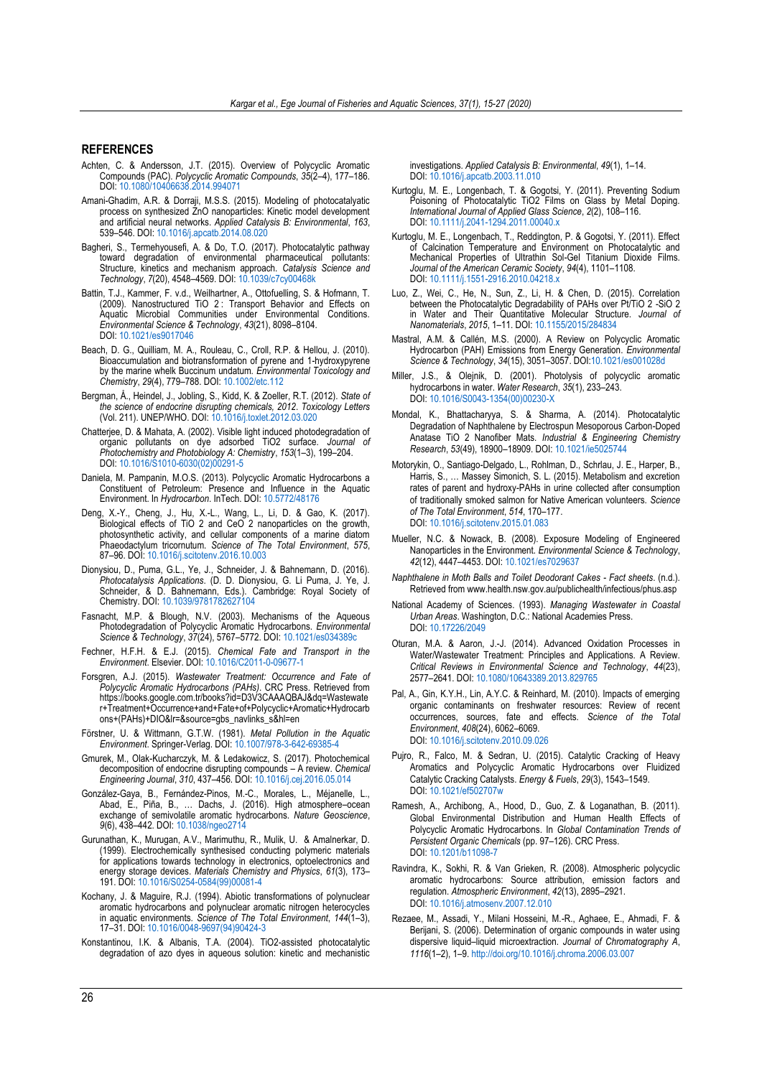#### **REFERENCES**

- <span id="page-11-25"></span>Achten, C. & Andersson, J.T. (2015). Overview of Polycyclic Aromatic Compounds (PAC). *Polycyclic Aromatic Compounds*, *35*(2–4), 177–186. DOI: [10.1080/10406638.2014.994071](http://doi.org/10.1080/10406638.2014.994071)
- <span id="page-11-29"></span>Amani-Ghadim, A.R. & Dorraji, M.S.S. (2015). Modeling of photocatalyatic process on synthesized ZnO nanoparticles: Kinetic model development and artificial neural networks. *Applied Catalysis B: Environmental*, *163*, 539–546. DOI: [10.1016/j.apcatb.2014.08.020](http://doi.org/10.1016/j.apcatb.2014.08.020)
- <span id="page-11-9"></span>Bagheri, S., Termehyousefi, A. & Do, T.O. (2017). Photocatalytic pathway toward degradation of environmental pharmaceutical Structure, kinetics and mechanism approach. *Catalysis Science and Technology*, *7*(20), 4548–4569. DOI: [10.1039/c7cy00468k](http://doi.org/10.1039/c7cy00468k)
- <span id="page-11-10"></span>Battin, T.J., Kammer, F. v.d., Weilhartner, A., Ottofuelling, S. & Hofmann, T. (2009). Nanostructured TiO 2 : Transport Behavior and Effects on Aquatic Microbial Communities under Environmental Conditions. *Environmental Science & Technology*, *43*(21), 8098–8104. DOI: [10.1021/es9017046](http://doi.org/10.1021/es9017046)
- Beach, D. G., Quilliam, M. A., Rouleau, C., Croll, R.P. & Hellou, J. (2010). Bioaccumulation and biotransformation of pyrene and 1-hydroxypyrene by the marine whelk Buccinum undatum. *Environmental Toxicology and Chemistry*, *29*(4), 779–788. DOI: [10.1002/etc.112](http://doi.org/10.1002/etc.112)
- <span id="page-11-1"></span>Bergman, Å., Heindel, J., Jobling, S., Kidd, K. & Zoeller, R.T. (2012). *State of the science of endocrine disrupting chemicals, 2012*. *Toxicology Letters* (Vol. 211). UNEP/WHO. DOI: [10.1016/j.toxlet.2012.03.020](http://doi.org/10.1016/j.toxlet.2012.03.020)
- <span id="page-11-13"></span>Chatterjee, D. & Mahata, A. (2002). Visible light induced photodegradation of organic pollutants on dye adsorbed TiO2 surface. *Journal of Photochemistry and Photobiology A: Chemistry*, *153*(1–3), 199–204. DOI: [10.1016/S1010-6030\(02\)00291-5](http://doi.org/10.1016/S1010-6030(02)00291-5)
- <span id="page-11-6"></span>Daniela, M. Pampanin, M.O.S. (2013). Polycyclic Aromatic Hydrocarbons a Constituent of Petroleum: Presence and Influence in the Aquatic Environment. In *Hydrocarbon*. InTech. DOI: [10.5772/48176](http://doi.org/10.5772/48176)
- <span id="page-11-11"></span>Deng, X.-Y., Cheng, J., Hu, X.-L., Wang, L., Li, D. & Gao, K. (2017). Biological effects of TiO 2 and CeO 2 nanoparticles on the growth, photosynthetic activity, and cellular components of a marine diatom Phaeodactylum tricornutum. *Science of The Total Environment*, *575*, 87–96. DOI: [10.1016/j.scitotenv.2016.10.003](http://doi.org/10.1016/j.scitotenv.2016.10.003)
- <span id="page-11-23"></span>Dionysiou, D., Puma, G.L., Ye, J., Schneider, J. & Bahnemann, D. (2016). *Photocatalysis Applications*. (D. D. Dionysiou, G. Li Puma, J. Ye, J. Schneider, & D. Bahnemann, Eds.). Cambridge: Royal Society of Chemistry. DOI: [10.1039/9781782627104](http://doi.org/10.1039/9781782627104)
- <span id="page-11-27"></span>Fasnacht, M.P. & Blough, N.V. (2003). Mechanisms of the Aqueous Photodegradation of Polycyclic Aromatic Hydrocarbons. *Environmental Science & Technology*, *37*(24), 5767–5772. DOI: [10.1021/es034389c](http://doi.org/10.1021/es034389c)
- <span id="page-11-2"></span>Fechner, H.F.H. & E.J. (2015). *Chemical Fate and Transport in the Environment*. Elsevier. DOI: [10.1016/C2011-0-09677-1](http://doi.org/10.1016/C2011-0-09677-1)
- <span id="page-11-3"></span>Forsgren, A.J. (2015). *Wastewater Treatment: Occurrence and Fate of Polycyclic Aromatic Hydrocarbons (PAHs)*. CRC Press. Retrieved from https://books.google.com.tr/books?id=D3V3CAAAQBAJ&da=Wastewate r+Treatment+Occurrence+and+Fate+of+Polycyclic+Aromatic+Hydrocarb ons+(PAHs)+DIO&lr=&source=gbs\_navlinks\_s&hl=en
- <span id="page-11-0"></span>Förstner, U. & Wittmann, G.T.W. (1981). *Metal Pollution in the Aquatic Environment*. Springer-Verlag. DOI: [10.1007/978-3-642-69385-4](http://doi.org/10.1007/978-3-642-69385-4)
- <span id="page-11-14"></span>Gmurek, M., Olak-Kucharczyk, M. & Ledakowicz, S. (2017). Photochemical decomposition of endocrine disrupting compounds – A review. *Chemical Engineering Journal*, *310*, 437–456. DOI: [10.1016/j.cej.2016.05.014](http://doi.org/10.1016/j.cej.2016.05.014)
- <span id="page-11-21"></span>González-Gaya, B., Fernández-Pinos, M.-C., Morales, L., Méjanelle, L., Abad, E., Piña, B., … Dachs, J. (2016). High atmosphere–ocean exchange of semivolatile aromatic hydrocarbons. *Nature Geoscience*, *9*(6), 438–442. DOI: [10.1038/ngeo2714](http://doi.org/10.1038/ngeo2714)
- Gurunathan, K., Murugan, A.V., Marimuthu, R., Mulik, U. & Amalnerkar, D. (1999). Electrochemically synthesised conducting polymeric materials for applications towards technology in electronics, optoelectronics and energy storage devices. *Materials Chemistry and Physics*, *61*(3), 173– 191. DOI: [10.1016/S0254-0584\(99\)00081-4](http://doi.org/10.1016/S0254-0584(99)00081-4)
- <span id="page-11-7"></span>Kochany, J. & Maguire, R.J. (1994). Abiotic transformations of polynuclear aromatic hydrocarbons and polynuclear aromatic nitrogen heterocycles in aquatic environments. *Science of The Total Environment*, *144*(1–3), 17–31. DOI: [10.1016/0048-9697\(94\)90424-3](http://doi.org/10.1016/0048-9697(94)90424-3)
- <span id="page-11-30"></span>Konstantinou, I.K. & Albanis, T.A. (2004). TiO2-assisted photocatalytic degradation of azo dyes in aqueous solution: kinetic and mechanistic

investigations. *Applied Catalysis B: Environmental*, *49*(1), 1–14. DOI: [10.1016/j.apcatb.2003.11.010](http://doi.org/10.1016/j.apcatb.2003.11.010)

- <span id="page-11-15"></span>Kurtoglu, M. E., Longenbach, T. & Gogotsi, Y. (2011). Preventing Sodium Poisoning of Photocatalytic TiO2 Films on Glass by Metal Doping. *International Journal of Applied Glass Science*, *2*(2), 108–116. DOI: [10.1111/j.2041-1294.2011.00040.x](http://doi.org/10.1111/j.2041-1294.2011.00040.x)
- Kurtoglu, M. E., Longenbach, T., Reddington, P. & Gogotsi, Y. (2011). Effect of Calcination Temperature and Environment on Photocatalytic and Mechanical Properties of Ultrathin Sol-Gel Titanium Dioxide Films. *Journal of the American Ceramic Society*, *94*(4), 1101–1108. DOI: [10.1111/j.1551-2916.2010.04218.x](http://doi.org/10.1111/j.1551-2916.2010.04218.x)
- <span id="page-11-22"></span>Luo, Z., Wei, C., He, N., Sun, Z., Li, H. & Chen, D. (2015). Correlation between the Photocatalytic Degradability of PAHs over Pt/TiO 2 -SiO 2 in Water and Their Quantitative Molecular Structure. *Journal of Nanomaterials*, *2015*, 1–11. DOI: [10.1155/2015/284834](http://doi.org/10.1155/2015/284834)
- <span id="page-11-17"></span>Mastral, A.M. & Callén, M.S. (2000). A Review on Polycyclic Aromatic Hydrocarbon (PAH) Emissions from Energy Generation. *Environmental Science & Technology*, *34*(15), 3051–3057[. DOI:10.1021/es001028d](http://doi.org/10.1021/es001028d)
- <span id="page-11-28"></span>Miller, J.S., & Olejnik, D. (2001). Photolysis of polycyclic aromatic hydrocarbons in water. *Water Research*, *35*(1), 233–243. DOI: [10.1016/S0043-1354\(00\)00230-X](http://doi.org/10.1016/S0043-1354(00)00230-X)
- <span id="page-11-19"></span>Mondal, K., Bhattacharyya, S. & Sharma, A. (2014). Photocatalytic Degradation of Naphthalene by Electrospun Mesoporous Carbon-Doped Anatase TiO 2 Nanofiber Mats. *Industrial & Engineering Chemistry Research*, *53*(49), 18900–18909. DOI: [10.1021/ie5025744](http://doi.org/10.1021/ie5025744)
- <span id="page-11-26"></span>Motorykin, O., Santiago-Delgado, L., Rohlman, D., Schrlau, J. E., Harper, B., Harris, S., … Massey Simonich, S. L. (2015). Metabolism and excretion rates of parent and hydroxy-PAHs in urine collected after consumption of traditionally smoked salmon for Native American volunteers. *Science of The Total Environment*, *514*, 170–177. DOI[: 10.1016/j.scitotenv.2015.01.083](http://doi.org/10.1016/j.scitotenv.2015.01.083)
- <span id="page-11-12"></span>Mueller, N.C. & Nowack, B. (2008). Exposure Modeling of Engineered Nanoparticles in the Environment. *Environmental Science & Technology*, *42*(12), 4447–4453. DOI[: 10.1021/es7029637](http://doi.org/10.1021/es7029637)
- *Naphthalene in Moth Balls and Toilet Deodorant Cakes - Fact sheets*. (n.d.). Retrieved from www.health.nsw.gov.au/publichealth/infectious/phus.asp
- <span id="page-11-4"></span>National Academy of Sciences. (1993). *Managing Wastewater in Coastal Urban Areas*. Washington, D.C.: National Academies Press. DOI[: 10.17226/2049](http://doi.org/10.17226/2049)
- <span id="page-11-8"></span>Oturan, M.A. & Aaron, J.-J. (2014). Advanced Oxidation Processes in Water/Wastewater Treatment: Principles and Applications. A Review. *Critical Reviews in Environmental Science and Technology*, *44*(23), 2577–2641. DOI: [10.1080/10643389.2013.829765](http://doi.org/10.1080/10643389.2013.829765)
- <span id="page-11-5"></span>Pal, A., Gin, K.Y.H., Lin, A.Y.C. & Reinhard, M. (2010). Impacts of emerging organic contaminants on freshwater resources: Review of recent occurrences, sources, fate and effects. *Science of the Total Environment*, *408*(24), 6062–6069. DOI: [10.1016/j.scitotenv.2010.09.026](http://doi.org/10.1016/j.scitotenv.2010.09.026)
- <span id="page-11-20"></span>Pujro, R., Falco, M. & Sedran, U. (2015). Catalytic Cracking of Heavy Aromatics and Polycyclic Aromatic Hydrocarbons over Fluidized Catalytic Cracking Catalysts. *Energy & Fuels*, *29*(3), 1543–1549. DOI: [10.1021/ef502707w](http://doi.org/10.1021/ef502707w)
- <span id="page-11-24"></span>Ramesh, A., Archibong, A., Hood, D., Guo, Z. & Loganathan, B. (2011). Global Environmental Distribution and Human Health Effects of Polycyclic Aromatic Hydrocarbons. In *Global Contamination Trends of Persistent Organic Chemicals* (pp. 97–126). CRC Press. DOI: [10.1201/b11098-7](http://doi.org/10.1201/b11098-7)
- <span id="page-11-18"></span>Ravindra, K., Sokhi, R. & Van Grieken, R. (2008). Atmospheric polycyclic aromatic hydrocarbons: Source attribution, emission factors and regulation. *Atmospheric Environment*, *42*(13), 2895–2921. DOI: [10.1016/j.atmosenv.2007.12.010](http://doi.org/10.1016/j.atmosenv.2007.12.010)
- <span id="page-11-16"></span>Rezaee, M., Assadi, Y., Milani Hosseini, M.-R., Aghaee, E., Ahmadi, F. & Berijani, S. (2006). Determination of organic compounds in water using dispersive liquid–liquid microextraction. *Journal of Chromatography A*, *1116*(1–2), 1–9[. http://doi.org/10.1016/j.chroma.2006.03.007](http://doi.org/10.1016/j.chroma.2006.03.007)